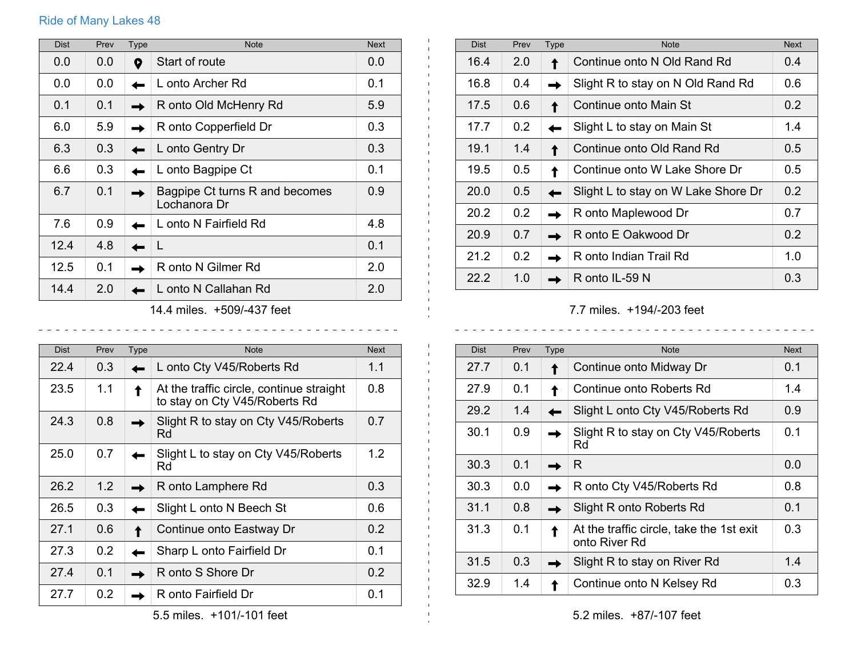## Ride of Many Lakes 48

| <b>Dist</b>                | Prev | Type | <b>Note</b>                                    | <b>Next</b> |
|----------------------------|------|------|------------------------------------------------|-------------|
| 0.0                        | 0.0  | 9    | Start of route                                 | 0.0         |
| 0.0                        | 0.0  |      | L onto Archer Rd                               | 0.1         |
| 0.1                        | 0.1  |      | R onto Old McHenry Rd                          | 5.9         |
| 6.0                        | 5.9  |      | R onto Copperfield Dr                          | 0.3         |
| 6.3                        | 0.3  |      | L onto Gentry Dr                               | 0.3         |
| 6.6                        | 0.3  |      | L onto Bagpipe Ct                              | 0.1         |
| 6.7                        | 0.1  |      | Bagpipe Ct turns R and becomes<br>Lochanora Dr | 0.9         |
| 7.6                        | 0.9  |      | L onto N Fairfield Rd                          | 4.8         |
| 12.4                       | 4.8  |      | L                                              | 0.1         |
| 12.5                       | 0.1  |      | R onto N Gilmer Rd                             | 2.0         |
| 14.4                       | 2.0  |      | L onto N Callahan Rd                           | 2.0         |
| 14.4 miles. +509/-437 feet |      |      |                                                |             |

| <b>Dist</b> | Prev | Type | <b>Note</b>                                                               | <b>Next</b> |
|-------------|------|------|---------------------------------------------------------------------------|-------------|
| 22.4        | 0.3  |      | L onto Cty V45/Roberts Rd                                                 | 1.1         |
| 23.5        | 1.1  |      | At the traffic circle, continue straight<br>to stay on Cty V45/Roberts Rd | 0.8         |
| 24.3        | 0.8  |      | Slight R to stay on Cty V45/Roberts<br>Rd                                 | 0.7         |
| 25.0        | 0.7  |      | Slight L to stay on Cty V45/Roberts<br>Rd                                 | 1.2         |
| 26.2        | 1.2  |      | R onto Lamphere Rd                                                        | 0.3         |
| 26.5        | 0.3  |      | Slight L onto N Beech St                                                  | 0.6         |
| 27.1        | 0.6  |      | Continue onto Eastway Dr                                                  | 0.2         |
| 27.3        | 0.2  |      | Sharp L onto Fairfield Dr                                                 | 0.1         |
| 27.4        | 0.1  |      | R onto S Shore Dr                                                         | 0.2         |
| 27.7        | 0.2  |      | R onto Fairfield Dr                                                       | 0.1         |

| <b>Dist</b> | Prev          | <b>Type</b> | <b>Note</b>                         | <b>Next</b>   |
|-------------|---------------|-------------|-------------------------------------|---------------|
| 16.4        | 2.0           |             | Continue onto N Old Rand Rd         | 0.4           |
| 16.8        | 0.4           |             | Slight R to stay on N Old Rand Rd   | 0.6           |
| 17.5        | 0.6           |             | Continue onto Main St               | $0.2^{\circ}$ |
| 17.7        | 0.2           |             | Slight L to stay on Main St         | 1.4           |
| 19.1        | 1.4           |             | Continue onto Old Rand Rd           | 0.5           |
| 19.5        | 0.5           |             | Continue onto W Lake Shore Dr       | $0.5^{\circ}$ |
| 20.0        | $0.5^{\circ}$ |             | Slight L to stay on W Lake Shore Dr | 0.2           |
| 20.2        | 0.2           |             | R onto Maplewood Dr                 | 0.7           |
| 20.9        | 0.7           |             | R onto E Oakwood Dr                 | $0.2^{\circ}$ |
| 21.2        | 0.2           |             | R onto Indian Trail Rd              | 1.0           |
| 22.2        | 1.0           |             | R onto IL-59 N                      | 0.3           |

 $\mathbf{L}$ 

 $\mathbf{L}$  $\mathbf{1}$  $\sim$ 

 $\pm 1$ 

-----------

7.7 miles. +194/-203 feet

 $\begin{array}{cccccccccccccc} \bot & \bot & \bot & \bot & \bot & \bot & \bot & \bot \end{array}$ 

 $\sim$   $\sim$ 

<u>. . . . . . . . . . .</u>

| <b>Dist</b> | Prev | Type | <b>Note</b>                                               | <b>Next</b> |
|-------------|------|------|-----------------------------------------------------------|-------------|
| 27.7        | 0.1  |      | Continue onto Midway Dr                                   | 0.1         |
| 27.9        | 0.1  |      | Continue onto Roberts Rd                                  | 1.4         |
| 29.2        | 1.4  |      | Slight L onto Cty V45/Roberts Rd                          | 0.9         |
| 30.1        | 0.9  |      | Slight R to stay on Cty V45/Roberts<br>Rd                 | 0.1         |
| 30.3        | 0.1  |      | R.                                                        | 0.0         |
| 30.3        | 0.0  |      | R onto Cty V45/Roberts Rd                                 | 0.8         |
| 31.1        | 0.8  |      | Slight R onto Roberts Rd                                  | 0.1         |
| 31.3        | 0.1  |      | At the traffic circle, take the 1st exit<br>onto River Rd | 0.3         |
| 31.5        | 0.3  |      | Slight R to stay on River Rd                              | 1.4         |
| 32.9        | 1.4  |      | Continue onto N Kelsey Rd                                 | 0.3         |

5.2 miles. +87/-107 feet

5.5 miles. +101/-101 feet